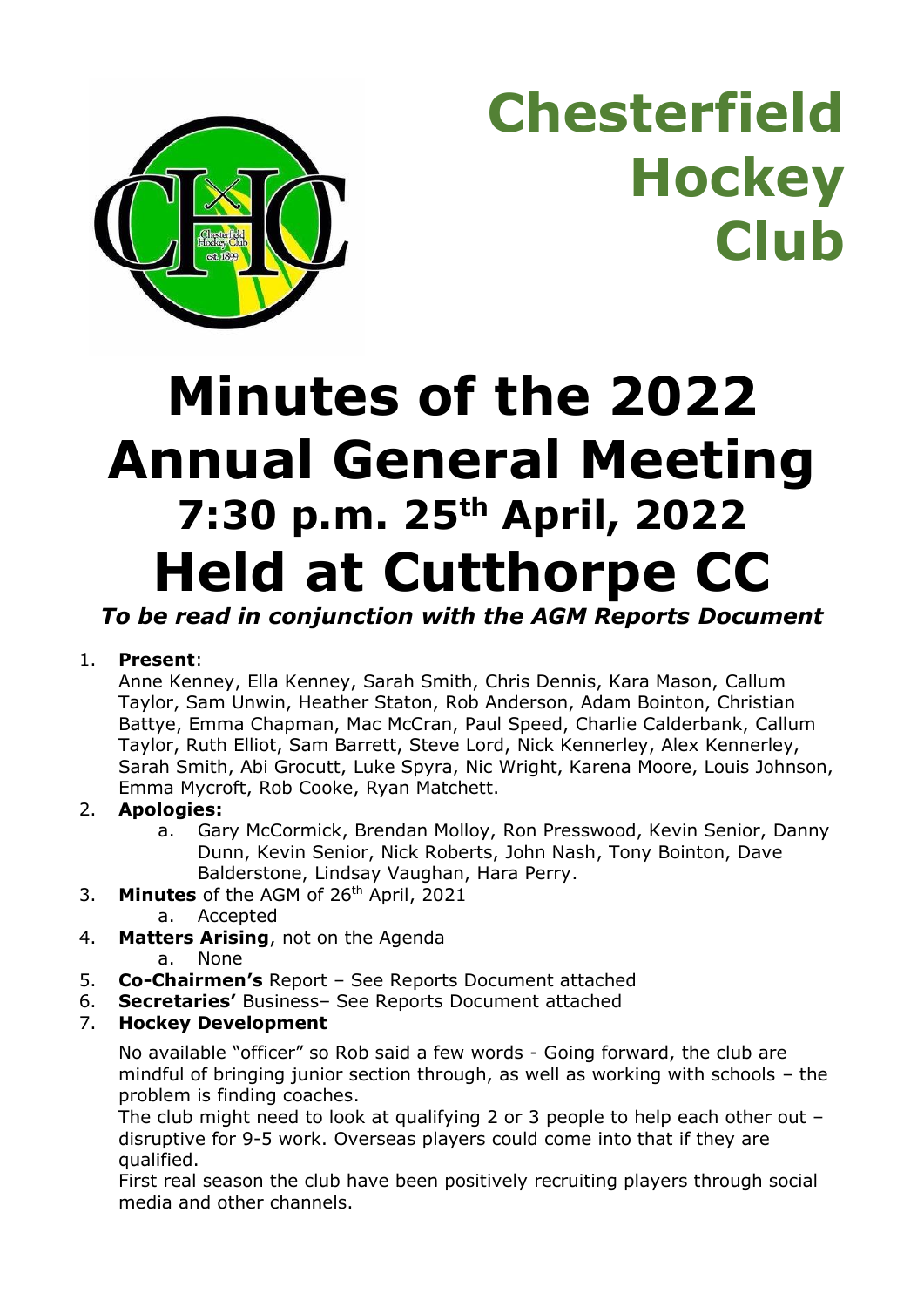

**Chesterfield Hockey Club**

# **Minutes of the 2022 Annual General Meeting 7:30 p.m. 25th April, 2022 Held at Cutthorpe CC**

*To be read in conjunction with the AGM Reports Document*

#### 1. **Present**:

Anne Kenney, Ella Kenney, Sarah Smith, Chris Dennis, Kara Mason, Callum Taylor, Sam Unwin, Heather Staton, Rob Anderson, Adam Bointon, Christian Battye, Emma Chapman, Mac McCran, Paul Speed, Charlie Calderbank, Callum Taylor, Ruth Elliot, Sam Barrett, Steve Lord, Nick Kennerley, Alex Kennerley, Sarah Smith, Abi Grocutt, Luke Spyra, Nic Wright, Karena Moore, Louis Johnson, Emma Mycroft, Rob Cooke, Ryan Matchett.

#### 2. **Apologies:**

- a. Gary McCormick, Brendan Molloy, Ron Presswood, Kevin Senior, Danny Dunn, Kevin Senior, Nick Roberts, John Nash, Tony Bointon, Dave Balderstone, Lindsay Vaughan, Hara Perry.
- 3. **Minutes** of the AGM of 26th April, 2021
	- a. Accepted
- 4. **Matters Arising**, not on the Agenda
	- a. None
- 5. **Co-Chairmen's** Report See Reports Document attached
- 6. **Secretaries'** Business– See Reports Document attached
- 7. **Hockey Development**

No available "officer" so Rob said a few words - Going forward, the club are mindful of bringing junior section through, as well as working with schools – the problem is finding coaches.

The club might need to look at qualifying 2 or 3 people to help each other out – disruptive for 9-5 work. Overseas players could come into that if they are qualified.

First real season the club have been positively recruiting players through social media and other channels.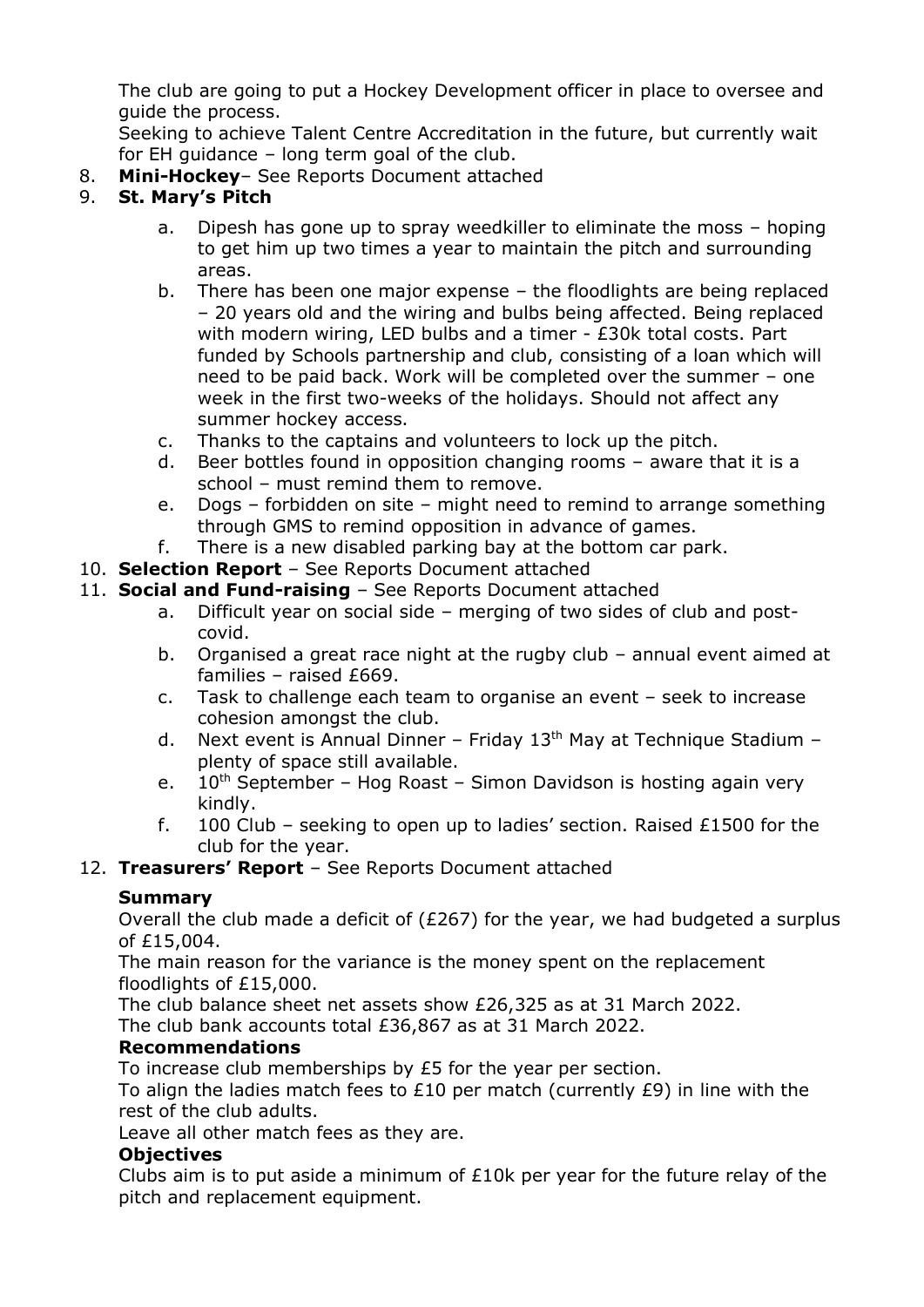The club are going to put a Hockey Development officer in place to oversee and guide the process.

Seeking to achieve Talent Centre Accreditation in the future, but currently wait for EH guidance – long term goal of the club.

8. **Mini-Hockey**– See Reports Document attached

#### 9. **St. Mary's Pitch**

- a. Dipesh has gone up to spray weedkiller to eliminate the moss hoping to get him up two times a year to maintain the pitch and surrounding areas.
- b. There has been one major expense the floodlights are being replaced – 20 years old and the wiring and bulbs being affected. Being replaced with modern wiring, LED bulbs and a timer - £30k total costs. Part funded by Schools partnership and club, consisting of a loan which will need to be paid back. Work will be completed over the summer – one week in the first two-weeks of the holidays. Should not affect any summer hockey access.
- c. Thanks to the captains and volunteers to lock up the pitch.
- d. Beer bottles found in opposition changing rooms aware that it is a school – must remind them to remove.
- e. Dogs forbidden on site might need to remind to arrange something through GMS to remind opposition in advance of games.
- f. There is a new disabled parking bay at the bottom car park.
- 10. **Selection Report** See Reports Document attached
- 11. **Social and Fund-raising** See Reports Document attached
	- a. Difficult year on social side merging of two sides of club and postcovid.
	- b. Organised a great race night at the rugby club annual event aimed at families – raised £669.
	- c. Task to challenge each team to organise an event seek to increase cohesion amongst the club.
	- d. Next event is Annual Dinner Friday  $13<sup>th</sup>$  May at Technique Stadium plenty of space still available.
	- e.  $10^{th}$  September Hog Roast Simon Davidson is hosting again very kindly.
	- f. 100 Club seeking to open up to ladies' section. Raised £1500 for the club for the year.
- 12. **Treasurers' Report** See Reports Document attached

#### **Summary**

Overall the club made a deficit of ( $£267$ ) for the year, we had budgeted a surplus of  $f15,004$ .

The main reason for the variance is the money spent on the replacement floodlights of £15,000.

The club balance sheet net assets show £26,325 as at 31 March 2022. The club bank accounts total £36,867 as at 31 March 2022.

#### **Recommendations**

To increase club memberships by £5 for the year per section.

To align the ladies match fees to  $£10$  per match (currently  $£9$ ) in line with the rest of the club adults.

Leave all other match fees as they are.

#### **Objectives**

Clubs aim is to put aside a minimum of  $£10k$  per year for the future relay of the pitch and replacement equipment.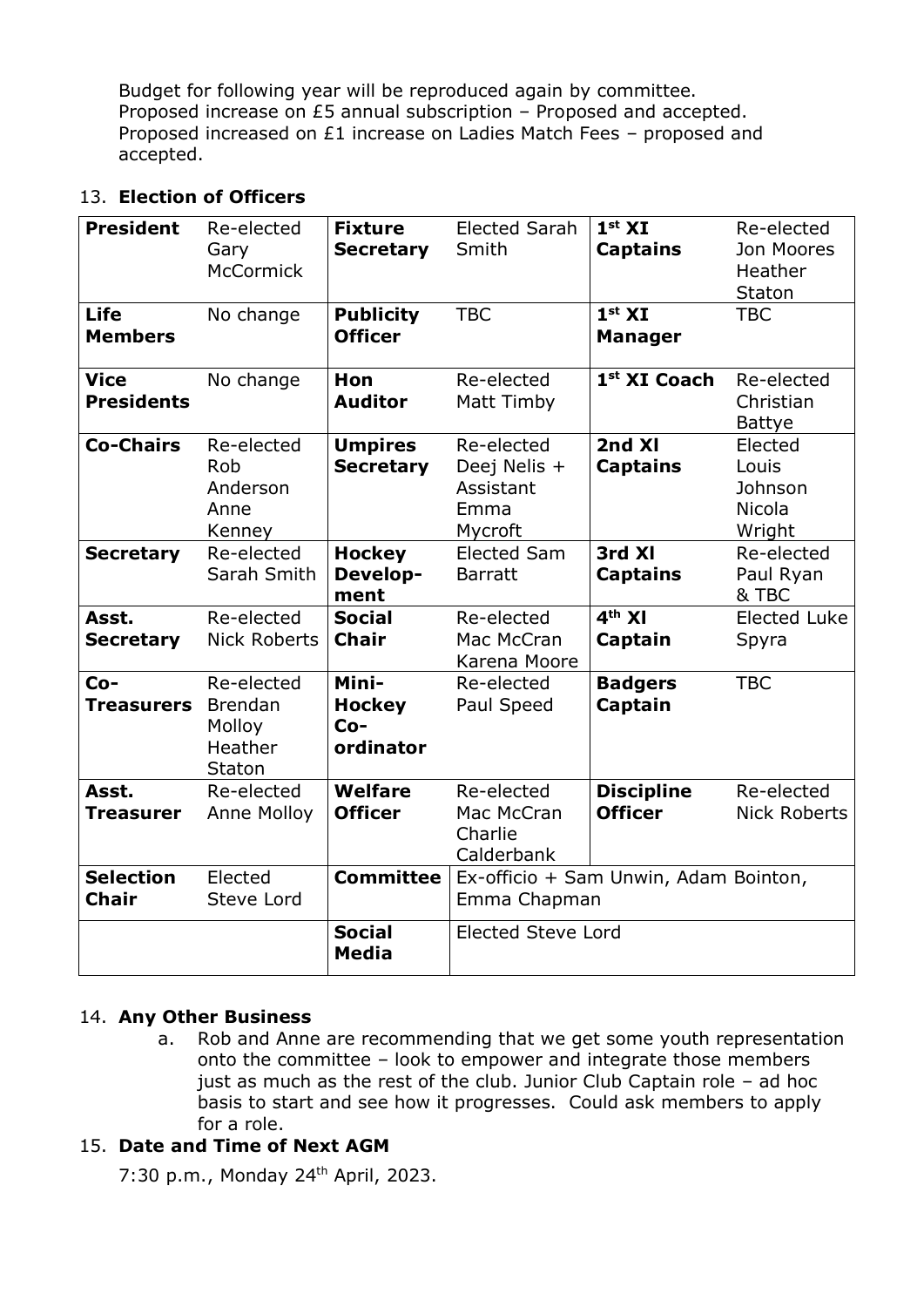Budget for following year will be reproduced again by committee. Proposed increase on £5 annual subscription – Proposed and accepted. Proposed increased on £1 increase on Ladies Match Fees – proposed and accepted.

#### 13. **Election of Officers**

| <b>President</b><br>Life<br><b>Members</b> | Re-elected<br>Gary<br>McCormick<br>No change         | <b>Fixture</b><br><b>Secretary</b><br><b>Publicity</b><br><b>Officer</b> | <b>Elected Sarah</b><br>Smith<br><b>TBC</b>                | 1 <sup>st</sup> XI<br><b>Captains</b><br>1 <sup>st</sup> XI<br><b>Manager</b> | Re-elected<br>Jon Moores<br>Heather<br>Staton<br><b>TBC</b> |  |
|--------------------------------------------|------------------------------------------------------|--------------------------------------------------------------------------|------------------------------------------------------------|-------------------------------------------------------------------------------|-------------------------------------------------------------|--|
| Vice<br><b>Presidents</b>                  | No change                                            | Hon<br><b>Auditor</b>                                                    | Re-elected<br>Matt Timby                                   | 1 <sup>st</sup> XI Coach                                                      | Re-elected<br>Christian<br>Battye                           |  |
| <b>Co-Chairs</b>                           | Re-elected<br>Rob<br>Anderson<br>Anne<br>Kenney      | <b>Umpires</b><br>Secretary                                              | Re-elected<br>Deej Nelis +<br>Assistant<br>Emma<br>Mycroft | 2nd XI<br><b>Captains</b>                                                     | Elected<br>Louis<br>Johnson<br>Nicola<br>Wright             |  |
| <b>Secretary</b>                           | Re-elected<br>Sarah Smith                            | <b>Hockey</b><br>Develop-<br>ment                                        | <b>Elected Sam</b><br><b>Barratt</b>                       | 3rd XI<br><b>Captains</b>                                                     | Re-elected<br>Paul Ryan<br>& TBC                            |  |
| Asst.<br><b>Secretary</b>                  | Re-elected<br>Nick Roberts                           | <b>Social</b><br>Chair                                                   | Re-elected<br>Mac McCran<br>Karena Moore                   | $4th$ XI<br>Captain                                                           | Elected Luke<br>Spyra                                       |  |
| $Co-$<br><b>Treasurers</b>                 | Re-elected<br>Brendan<br>Molloy<br>Heather<br>Staton | Mini-<br><b>Hockey</b><br>$Co-$<br>ordinator                             | Re-elected<br>Paul Speed                                   | <b>Badgers</b><br>Captain                                                     | <b>TBC</b>                                                  |  |
| Asst.<br>Treasurer                         | Re-elected<br>Anne Molloy                            | Welfare<br><b>Officer</b>                                                | Re-elected<br>Mac McCran<br>Charlie<br>Calderbank          | <b>Discipline</b><br><b>Officer</b>                                           | Re-elected<br><b>Nick Roberts</b>                           |  |
| <b>Selection</b><br>Chair                  | Elected<br>Steve Lord                                | <b>Committee</b>                                                         | Ex-officio + Sam Unwin, Adam Bointon,<br>Emma Chapman      |                                                                               |                                                             |  |
|                                            |                                                      | <b>Social</b><br>Media                                                   | <b>Elected Steve Lord</b>                                  |                                                                               |                                                             |  |

#### 14. **Any Other Business**

a. Rob and Anne are recommending that we get some youth representation onto the committee – look to empower and integrate those members just as much as the rest of the club. Junior Club Captain role – ad hoc basis to start and see how it progresses. Could ask members to apply for a role.

#### 15. **Date and Time of Next AGM**

7:30 p.m., Monday 24 th April, 2023.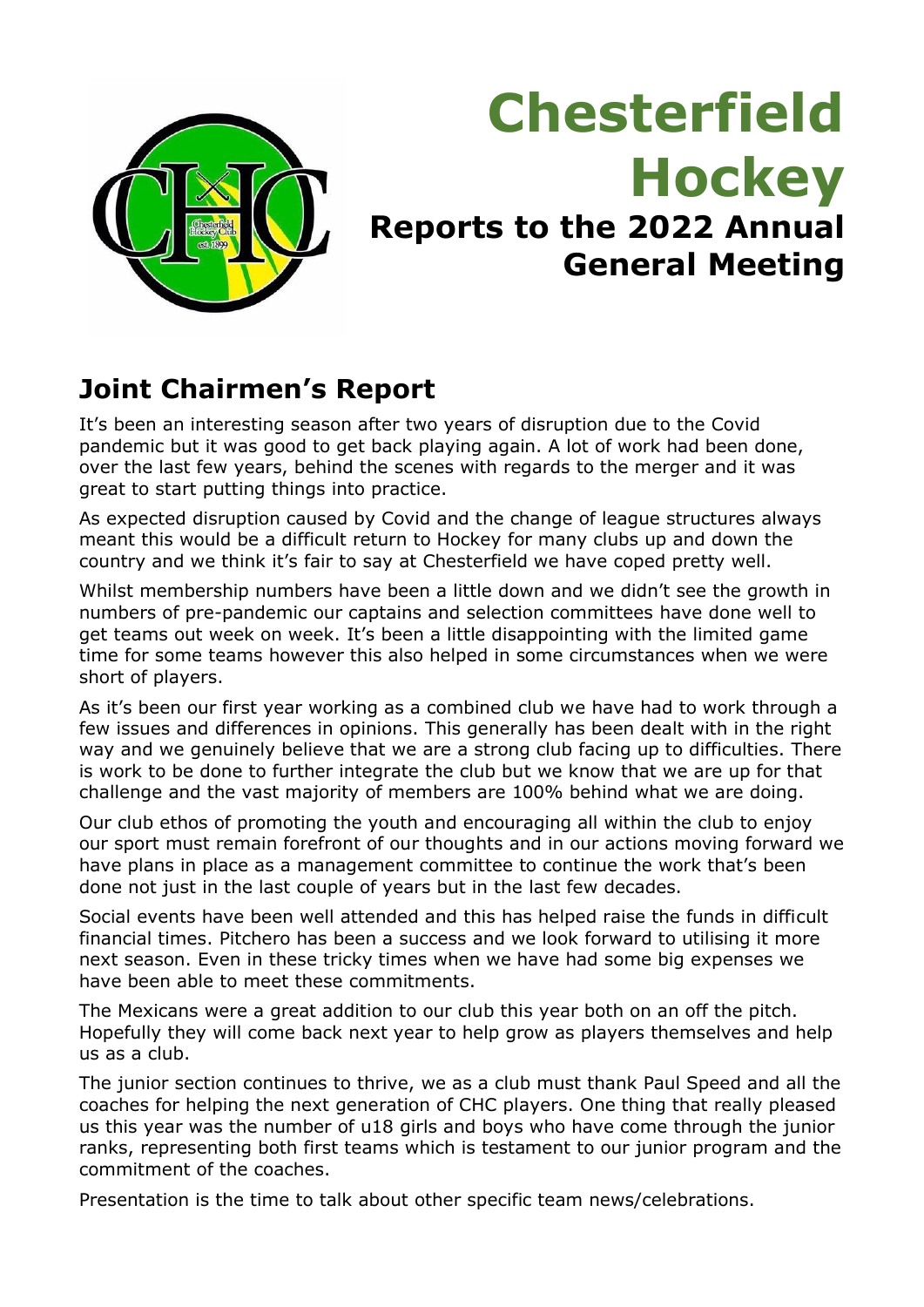

## **Chesterfield Hockey Reports to the 2022 Annual General Meeting**

## **Joint Chairmen's Report**

It's been an interesting season after two years of disruption due to the Covid pandemic but it was good to get back playing again. A lot of work had been done, over the last few years, behind the scenes with regards to the merger and it was great to start putting things into practice.

As expected disruption caused by Covid and the change of league structures always meant this would be a difficult return to Hockey for many clubs up and down the country and we think it's fair to say at Chesterfield we have coped pretty well.

Whilst membership numbers have been a little down and we didn't see the growth in numbers of pre-pandemic our captains and selection committees have done well to get teams out week on week. It's been a little disappointing with the limited game time for some teams however this also helped in some circumstances when we were short of players.

As it's been our first year working as a combined club we have had to work through a few issues and differences in opinions. This generally has been dealt with in the right way and we genuinely believe that we are a strong club facing up to difficulties. There is work to be done to further integrate the club but we know that we are up for that challenge and the vast majority of members are 100% behind what we are doing.

Our club ethos of promoting the youth and encouraging all within the club to enjoy our sport must remain forefront of our thoughts and in our actions moving forward we have plans in place as a management committee to continue the work that's been done not just in the last couple of years but in the last few decades.

Social events have been well attended and this has helped raise the funds in difficult financial times. Pitchero has been a success and we look forward to utilising it more next season. Even in these tricky times when we have had some big expenses we have been able to meet these commitments.

The Mexicans were a great addition to our club this year both on an off the pitch. Hopefully they will come back next year to help grow as players themselves and help us as a club.

The junior section continues to thrive, we as a club must thank Paul Speed and all the coaches for helping the next generation of CHC players. One thing that really pleased us this year was the number of u18 girls and boys who have come through the junior ranks, representing both first teams which is testament to our junior program and the commitment of the coaches.

Presentation is the time to talk about other specific team news/celebrations.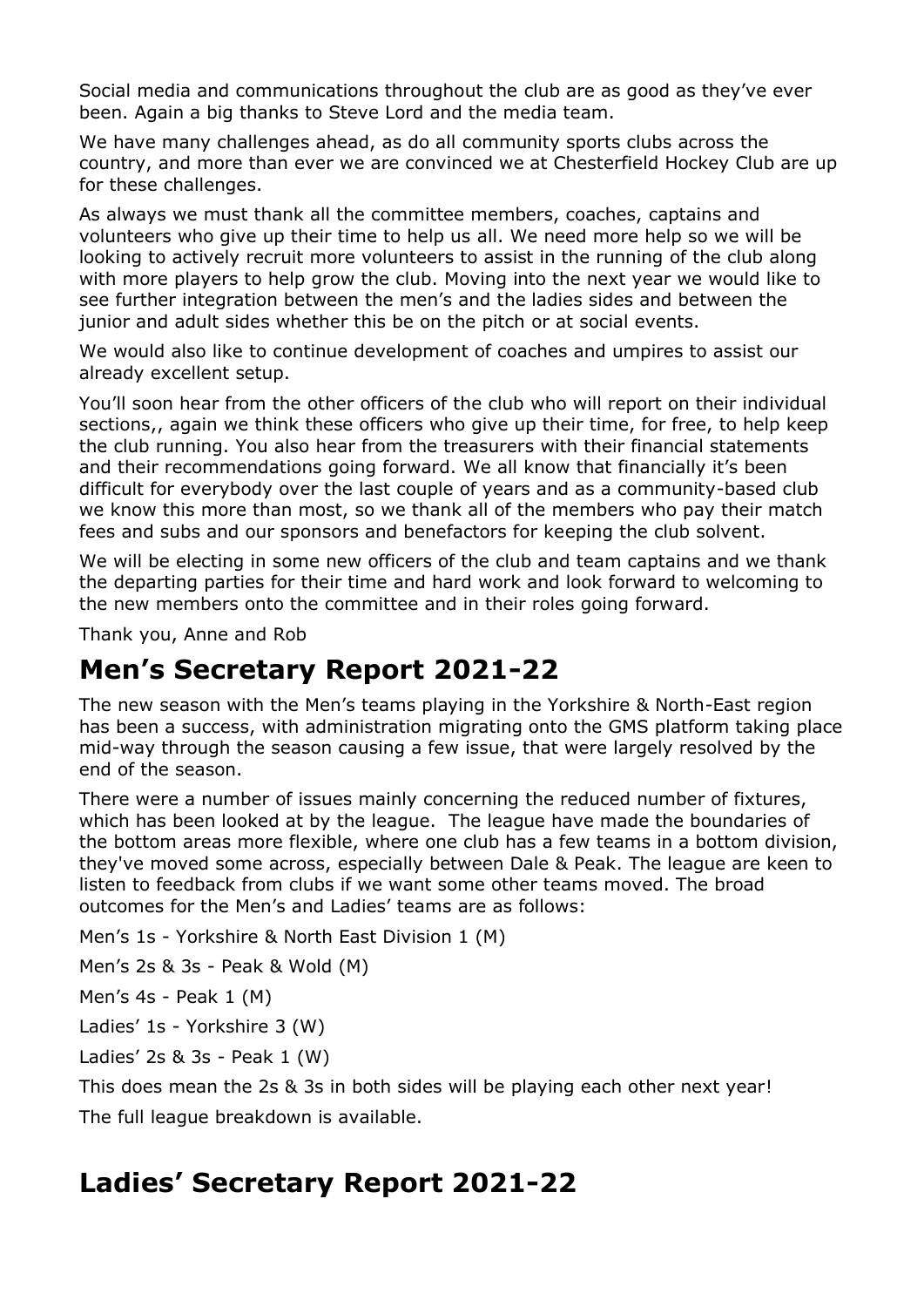Social media and communications throughout the club are as good as they've ever been. Again a big thanks to Steve Lord and the media team.

We have many challenges ahead, as do all community sports clubs across the country, and more than ever we are convinced we at Chesterfield Hockey Club are up for these challenges.

As always we must thank all the committee members, coaches, captains and volunteers who give up their time to help us all. We need more help so we will be looking to actively recruit more volunteers to assist in the running of the club along with more players to help grow the club. Moving into the next year we would like to see further integration between the men's and the ladies sides and between the junior and adult sides whether this be on the pitch or at social events.

We would also like to continue development of coaches and umpires to assist our already excellent setup.

You'll soon hear from the other officers of the club who will report on their individual sections,, again we think these officers who give up their time, for free, to help keep the club running. You also hear from the treasurers with their financial statements and their recommendations going forward. We all know that financially it's been difficult for everybody over the last couple of years and as a community-based club we know this more than most, so we thank all of the members who pay their match fees and subs and our sponsors and benefactors for keeping the club solvent.

We will be electing in some new officers of the club and team captains and we thank the departing parties for their time and hard work and look forward to welcoming to the new members onto the committee and in their roles going forward.

Thank you, Anne and Rob

### **Men's Secretary Report 2021-22**

The new season with the Men's teams playing in the Yorkshire & North-East region has been a success, with administration migrating onto the GMS platform taking place mid-way through the season causing a few issue, that were largely resolved by the end of the season.

There were a number of issues mainly concerning the reduced number of fixtures, which has been looked at by the league. The league have made the boundaries of the bottom areas more flexible, where one club has a few teams in a bottom division, they've moved some across, especially between Dale & Peak. The league are keen to listen to feedback from clubs if we want some other teams moved. The broad outcomes for the Men's and Ladies' teams are as follows:

Men's 1s - Yorkshire & North East Division 1 (M)

Men's 2s & 3s - Peak & Wold (M)

Men's 4s - Peak 1 (M)

Ladies' 1s - Yorkshire 3 (W)

Ladies' 2s & 3s - Peak 1 (W)

This does mean the 2s & 3s in both sides will be playing each other next year!

The full league breakdown is available.

## **Ladies' Secretary Report 2021-22**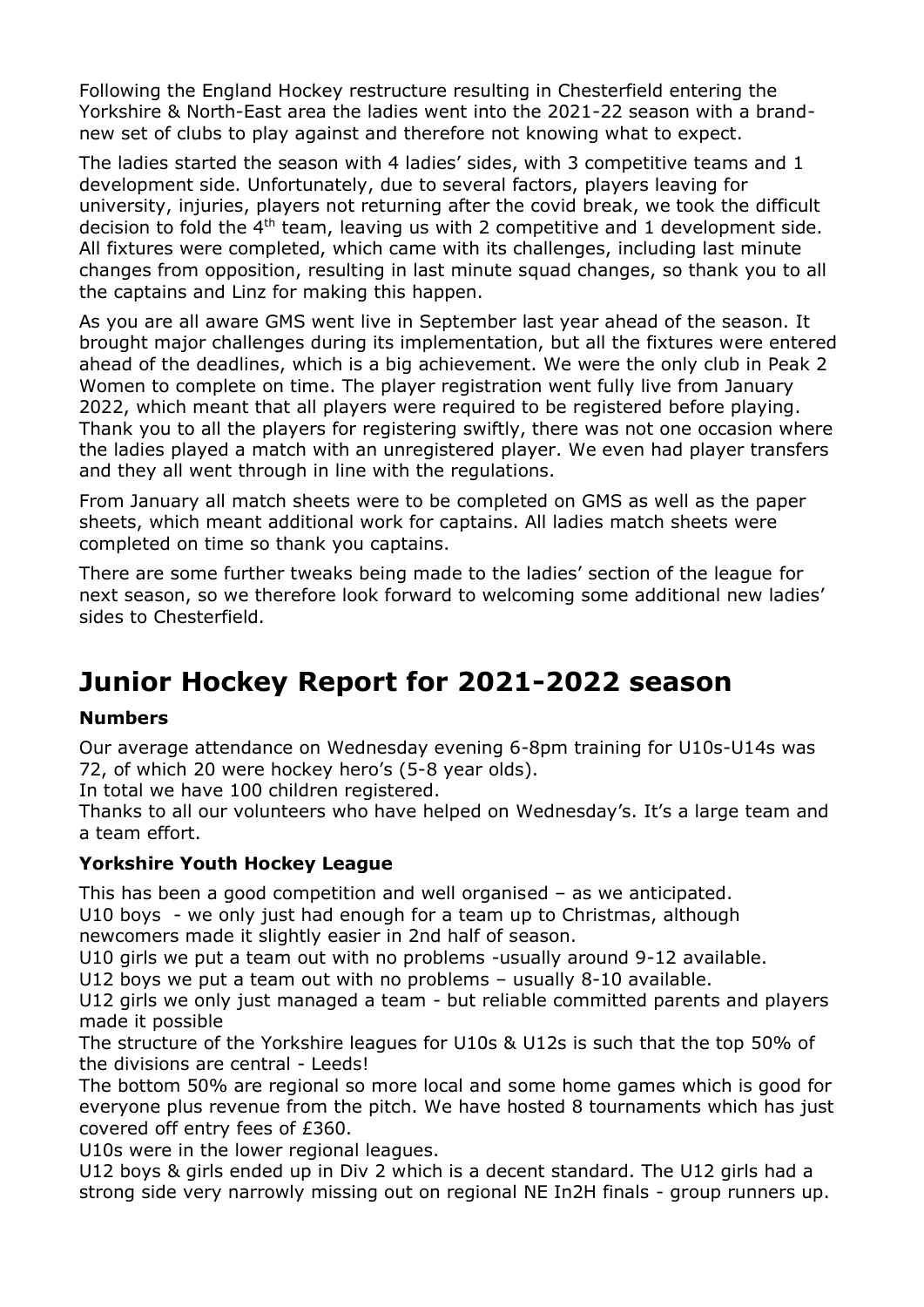Following the England Hockey restructure resulting in Chesterfield entering the Yorkshire & North-East area the ladies went into the 2021-22 season with a brandnew set of clubs to play against and therefore not knowing what to expect.

The ladies started the season with 4 ladies' sides, with 3 competitive teams and 1 development side. Unfortunately, due to several factors, players leaving for university, injuries, players not returning after the covid break, we took the difficult decision to fold the  $4<sup>th</sup>$  team, leaving us with 2 competitive and 1 development side. All fixtures were completed, which came with its challenges, including last minute changes from opposition, resulting in last minute squad changes, so thank you to all the captains and Linz for making this happen.

As you are all aware GMS went live in September last year ahead of the season. It brought major challenges during its implementation, but all the fixtures were entered ahead of the deadlines, which is a big achievement. We were the only club in Peak 2 Women to complete on time. The player registration went fully live from January 2022, which meant that all players were required to be registered before playing. Thank you to all the players for registering swiftly, there was not one occasion where the ladies played a match with an unregistered player. We even had player transfers and they all went through in line with the regulations.

From January all match sheets were to be completed on GMS as well as the paper sheets, which meant additional work for captains. All ladies match sheets were completed on time so thank you captains.

There are some further tweaks being made to the ladies' section of the league for next season, so we therefore look forward to welcoming some additional new ladies' sides to Chesterfield.

## **Junior Hockey Report for 2021-2022 season**

#### **Numbers**

Our average attendance on Wednesday evening 6-8pm training for U10s-U14s was 72, of which 20 were hockey hero's (5-8 year olds).

In total we have 100 children registered.

Thanks to all our volunteers who have helped on Wednesday's. It's a large team and a team effort.

#### **Yorkshire Youth Hockey League**

This has been a good competition and well organised – as we anticipated.

U10 boys - we only just had enough for a team up to Christmas, although newcomers made it slightly easier in 2nd half of season.

U10 girls we put a team out with no problems -usually around 9-12 available.

U12 boys we put a team out with no problems – usually 8-10 available.

U12 girls we only just managed a team - but reliable committed parents and players made it possible

The structure of the Yorkshire leagues for U10s & U12s is such that the top 50% of the divisions are central - Leeds!

The bottom 50% are regional so more local and some home games which is good for everyone plus revenue from the pitch. We have hosted 8 tournaments which has just covered off entry fees of £360.

U10s were in the lower regional leagues.

U12 boys & girls ended up in Div 2 which is a decent standard. The U12 girls had a strong side very narrowly missing out on regional NE In2H finals - group runners up.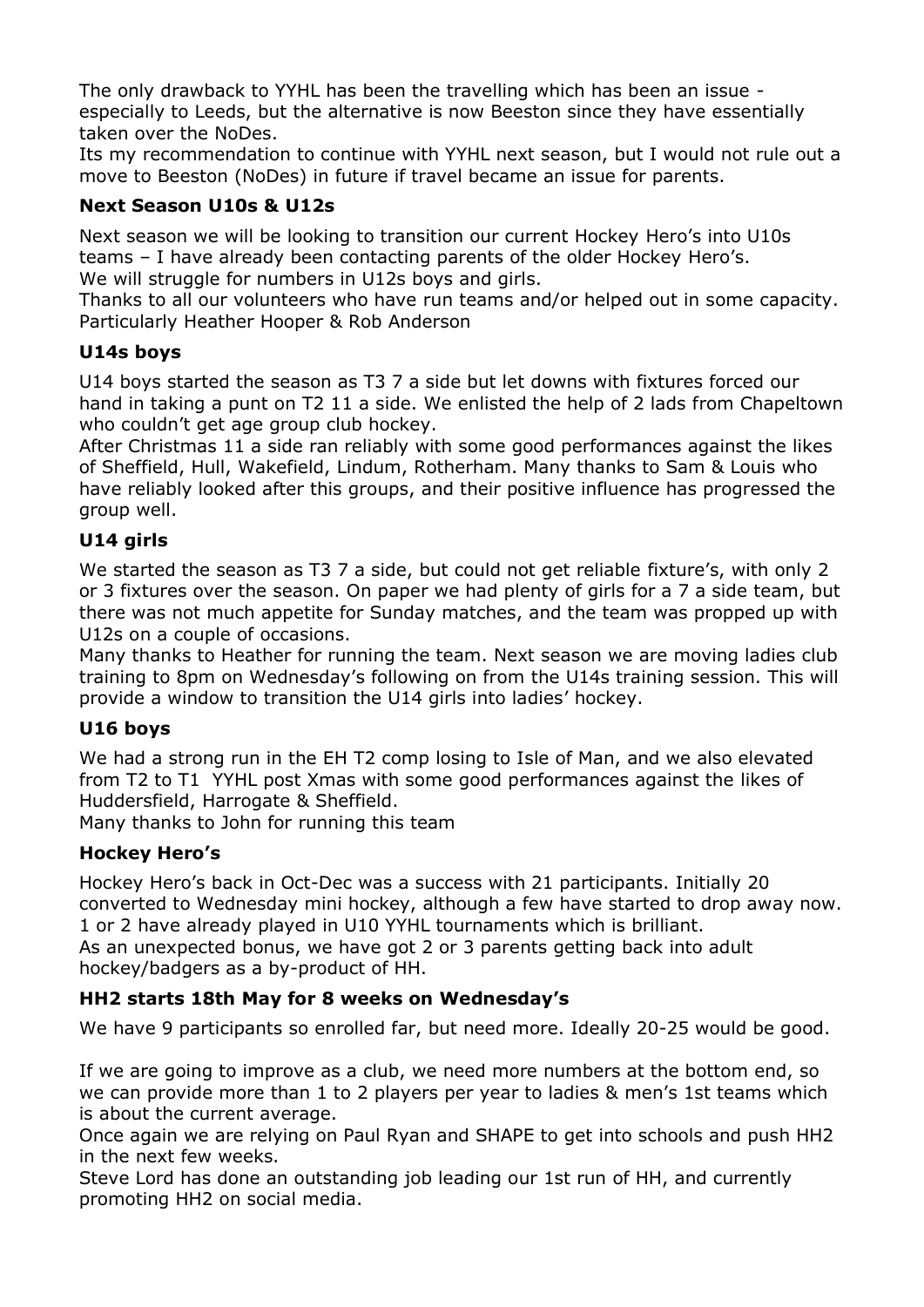The only drawback to YYHL has been the travelling which has been an issue especially to Leeds, but the alternative is now Beeston since they have essentially taken over the NoDes.

Its my recommendation to continue with YYHL next season, but I would not rule out a move to Beeston (NoDes) in future if travel became an issue for parents.

#### **Next Season U10s & U12s**

Next season we will be looking to transition our current Hockey Hero's into U10s teams – I have already been contacting parents of the older Hockey Hero's. We will struggle for numbers in U12s boys and girls.

Thanks to all our volunteers who have run teams and/or helped out in some capacity. Particularly Heather Hooper & Rob Anderson

#### **U14s boys**

U14 boys started the season as T3 7 a side but let downs with fixtures forced our hand in taking a punt on T2 11 a side. We enlisted the help of 2 lads from Chapeltown who couldn't get age group club hockey.

After Christmas 11 a side ran reliably with some good performances against the likes of Sheffield, Hull, Wakefield, Lindum, Rotherham. Many thanks to Sam & Louis who have reliably looked after this groups, and their positive influence has progressed the group well.

#### **U14 girls**

We started the season as T3.7 a side, but could not get reliable fixture's, with only 2 or 3 fixtures over the season. On paper we had plenty of girls for a 7 a side team, but there was not much appetite for Sunday matches, and the team was propped up with U12s on a couple of occasions.

Many thanks to Heather for running the team. Next season we are moving ladies club training to 8pm on Wednesday's following on from the U14s training session. This will provide a window to transition the U14 girls into ladies' hockey.

#### **U16 boys**

We had a strong run in the EH T2 comp losing to Isle of Man, and we also elevated from T2 to T1 YYHL post Xmas with some good performances against the likes of Huddersfield, Harrogate & Sheffield.

Many thanks to John for running this team

#### **Hockey Hero's**

Hockey Hero's back in Oct-Dec was a success with 21 participants. Initially 20 converted to Wednesday mini hockey, although a few have started to drop away now. 1 or 2 have already played in U10 YYHL tournaments which is brilliant. As an unexpected bonus, we have got 2 or 3 parents getting back into adult hockey/badgers as a by-product of HH.

#### **HH2 starts 18th May for 8 weeks on Wednesday's**

We have 9 participants so enrolled far, but need more. Ideally 20-25 would be good.

If we are going to improve as a club, we need more numbers at the bottom end, so we can provide more than 1 to 2 players per year to ladies & men's 1st teams which is about the current average.

Once again we are relying on Paul Ryan and SHAPE to get into schools and push HH2 in the next few weeks.

Steve Lord has done an outstanding job leading our 1st run of HH, and currently promoting HH2 on social media.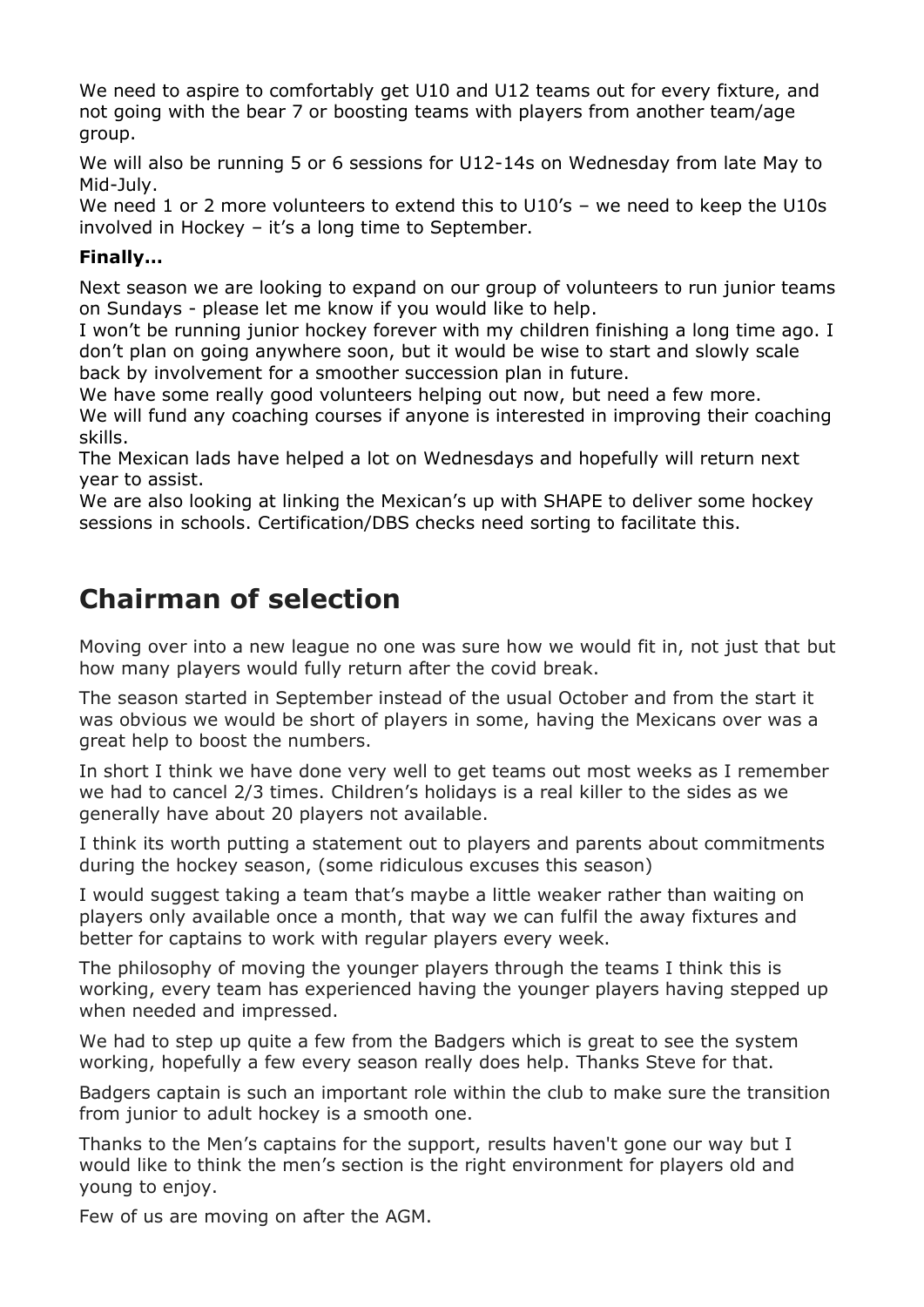We need to aspire to comfortably get U10 and U12 teams out for every fixture, and not going with the bear 7 or boosting teams with players from another team/age group.

We will also be running 5 or 6 sessions for U12-14s on Wednesday from late May to Mid-July.

We need 1 or 2 more volunteers to extend this to U10's - we need to keep the U10s involved in Hockey – it's a long time to September.

#### **Finally…**

Next season we are looking to expand on our group of volunteers to run junior teams on Sundays - please let me know if you would like to help.

I won't be running junior hockey forever with my children finishing a long time ago. I don't plan on going anywhere soon, but it would be wise to start and slowly scale back by involvement for a smoother succession plan in future.

We have some really good volunteers helping out now, but need a few more. We will fund any coaching courses if anyone is interested in improving their coaching skills.

The Mexican lads have helped a lot on Wednesdays and hopefully will return next year to assist.

We are also looking at linking the Mexican's up with SHAPE to deliver some hockey sessions in schools. Certification/DBS checks need sorting to facilitate this.

## **Chairman of selection**

Moving over into a new league no one was sure how we would fit in, not just that but how many players would fully return after the covid break.

The season started in September instead of the usual October and from the start it was obvious we would be short of players in some, having the Mexicans over was a great help to boost the numbers.

In short I think we have done very well to get teams out most weeks as I remember we had to cancel 2/3 times. Children's holidays is a real killer to the sides as we generally have about 20 players not available.

I think its worth putting a statement out to players and parents about commitments during the hockey season, (some ridiculous excuses this season)

I would suggest taking a team that's maybe a little weaker rather than waiting on players only available once a month, that way we can fulfil the away fixtures and better for captains to work with regular players every week.

The philosophy of moving the younger players through the teams I think this is working, every team has experienced having the younger players having stepped up when needed and impressed.

We had to step up quite a few from the Badgers which is great to see the system working, hopefully a few every season really does help. Thanks Steve for that.

Badgers captain is such an important role within the club to make sure the transition from junior to adult hockey is a smooth one.

Thanks to the Men's captains for the support, results haven't gone our way but I would like to think the men's section is the right environment for players old and young to enjoy.

Few of us are moving on after the AGM.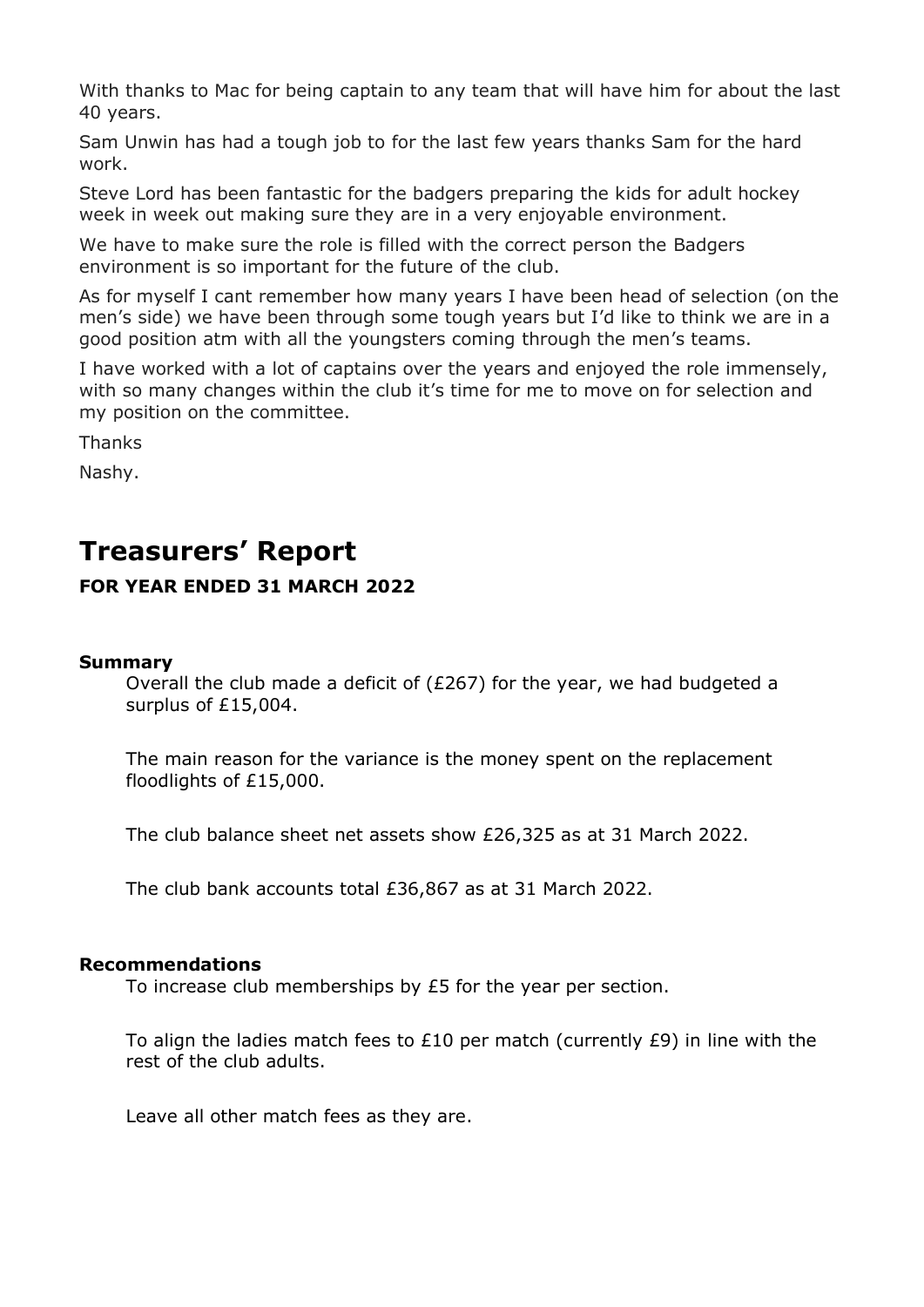With thanks to Mac for being captain to any team that will have him for about the last 40 years.

Sam Unwin has had a tough job to for the last few years thanks Sam for the hard work.

Steve Lord has been fantastic for the badgers preparing the kids for adult hockey week in week out making sure they are in a very enjoyable environment.

We have to make sure the role is filled with the correct person the Badgers environment is so important for the future of the club.

As for myself I cant remember how many years I have been head of selection (on the men's side) we have been through some tough years but I'd like to think we are in a good position atm with all the youngsters coming through the men's teams.

I have worked with a lot of captains over the years and enjoyed the role immensely, with so many changes within the club it's time for me to move on for selection and my position on the committee.

Thanks

Nashy.

## **Treasurers' Report**

#### **FOR YEAR ENDED 31 MARCH 2022**

#### **Summary**

Overall the club made a deficit of (£267) for the year, we had budgeted a surplus of £15,004.

The main reason for the variance is the money spent on the replacement floodlights of £15,000.

The club balance sheet net assets show £26,325 as at 31 March 2022.

The club bank accounts total £36,867 as at 31 March 2022.

#### **Recommendations**

To increase club memberships by £5 for the year per section.

To align the ladies match fees to  $£10$  per match (currently  $£9$ ) in line with the rest of the club adults.

Leave all other match fees as they are.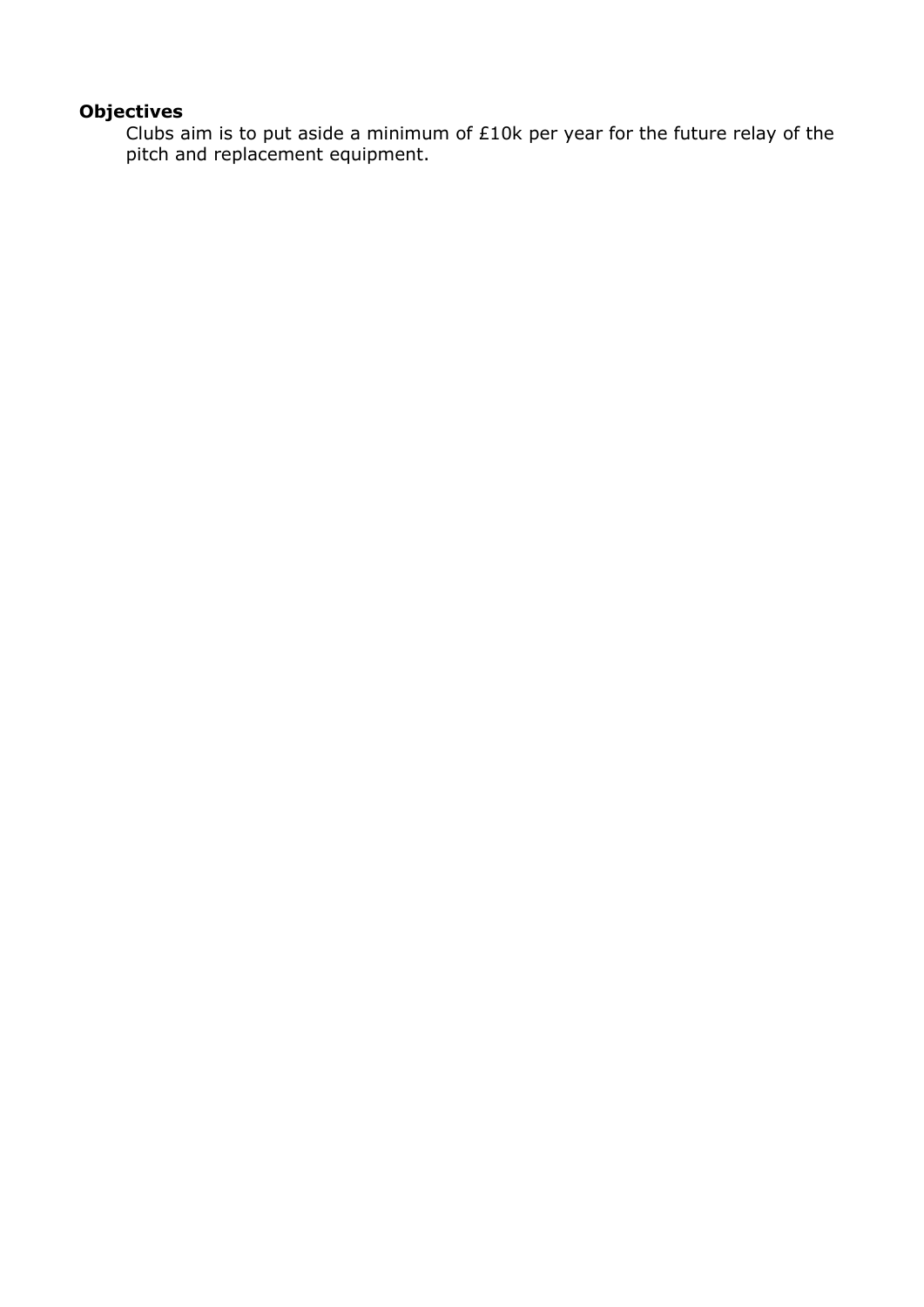#### **Objectives**

Clubs aim is to put aside a minimum of £10k per year for the future relay of the pitch and replacement equipment.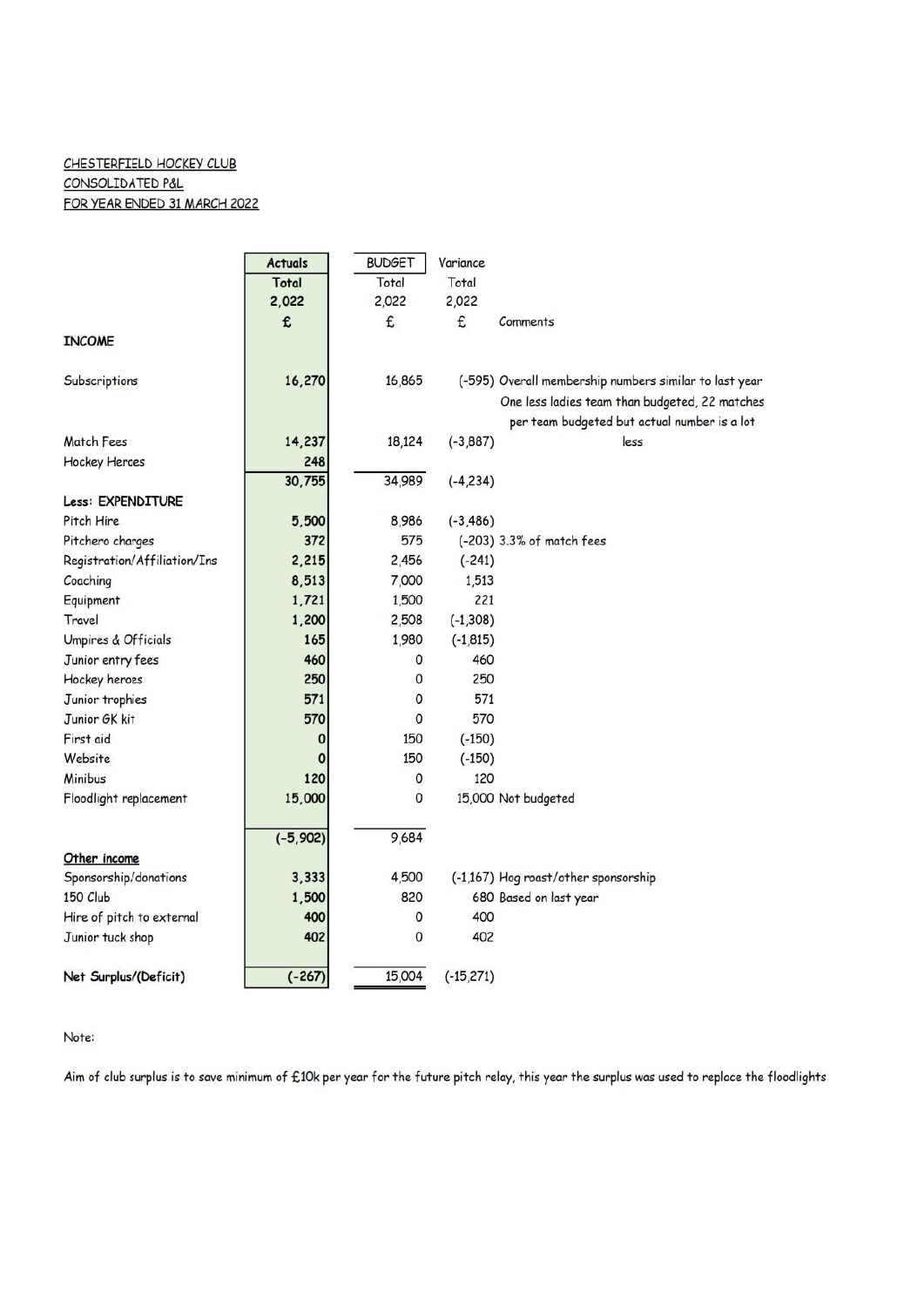#### CHESTERFIELD HOCKEY CLUB CONSOLIDATED P&L FOR YEAR ENDED 31 MARCH 2022

|                              | <b>Actuals</b> | <b>BUDGET</b> | Variance     |                                                        |
|------------------------------|----------------|---------------|--------------|--------------------------------------------------------|
|                              | Total          | Total         | Total        |                                                        |
|                              | 2,022          | 2,022         | 2,022        |                                                        |
|                              | £              | £             | £            | Comments                                               |
| <b>INCOME</b>                |                |               |              |                                                        |
|                              |                |               |              |                                                        |
| Subscriptions                | 16,270         | 16,865        |              | (-595) Overall membership numbers similar to last year |
|                              |                |               |              | One less ladies team than budgeted, 22 matches         |
|                              |                |               |              | per team budgeted but actual number is a lot           |
| <b>Match Fees</b>            | 14,237         | 18,124        | $(-3, 887)$  | less                                                   |
| <b>Hockey Heroes</b>         | 248            |               |              |                                                        |
|                              | 30,755         | 34,989        | $(-4, 234)$  |                                                        |
| Less: EXPENDITURE            |                |               |              |                                                        |
| Pitch Hire                   | 5,500          | 8,986         | $(-3, 486)$  |                                                        |
| Pitchero charges             | 372            | 575           |              | (-203) 3.3% of match fees                              |
| Registration/Affiliation/Ins | 2,215          | 2,456         | $(-241)$     |                                                        |
| Coaching                     | 8,513          | 7,000         | 1,513        |                                                        |
| Equipment                    | 1,721          | 1,500         | 221          |                                                        |
| Travel                       | 1,200          | 2,508         | $(-1, 308)$  |                                                        |
| Umpires & Officials          | 165            | 1,980         | $(-1, 815)$  |                                                        |
| Junior entry fees            | 460            | 0             | 460          |                                                        |
| Hockey heroes                | 250            | 0             | 250          |                                                        |
| Junior trophies              | 571            | $\Omega$      | 571          |                                                        |
| Junior GK kit                | 570            | $\Omega$      | 570          |                                                        |
| First aid                    | 0              | 150           | $(-150)$     |                                                        |
| Website                      | O              | 150           | $(-150)$     |                                                        |
| Minibus                      | 120            | 0             | 120          |                                                        |
| Floodlight replacement       | 15,000         | 0             |              | 15,000 Not budgeted                                    |
|                              |                |               |              |                                                        |
|                              | $(-5, 902)$    | 9,684         |              |                                                        |
| Other income                 |                |               |              |                                                        |
| Sponsorship/donations        | 3,333          | 4,500         |              | (-1,167) Hog roast/other sponsorship                   |
| 150 Club                     | 1,500          | 820           |              | 680 Based on last year                                 |
| Hire of pitch to external    | 400            | 0             | 400          |                                                        |
| Junior tuck shop             | 402            | 0             | 402          |                                                        |
| Net Surplus/(Deficit)        | $(-267)$       | 15,004        | $(-15, 271)$ |                                                        |

#### Note:

Aim of club surplus is to save minimum of £10k per year for the future pitch relay, this year the surplus was used to replace the floodlights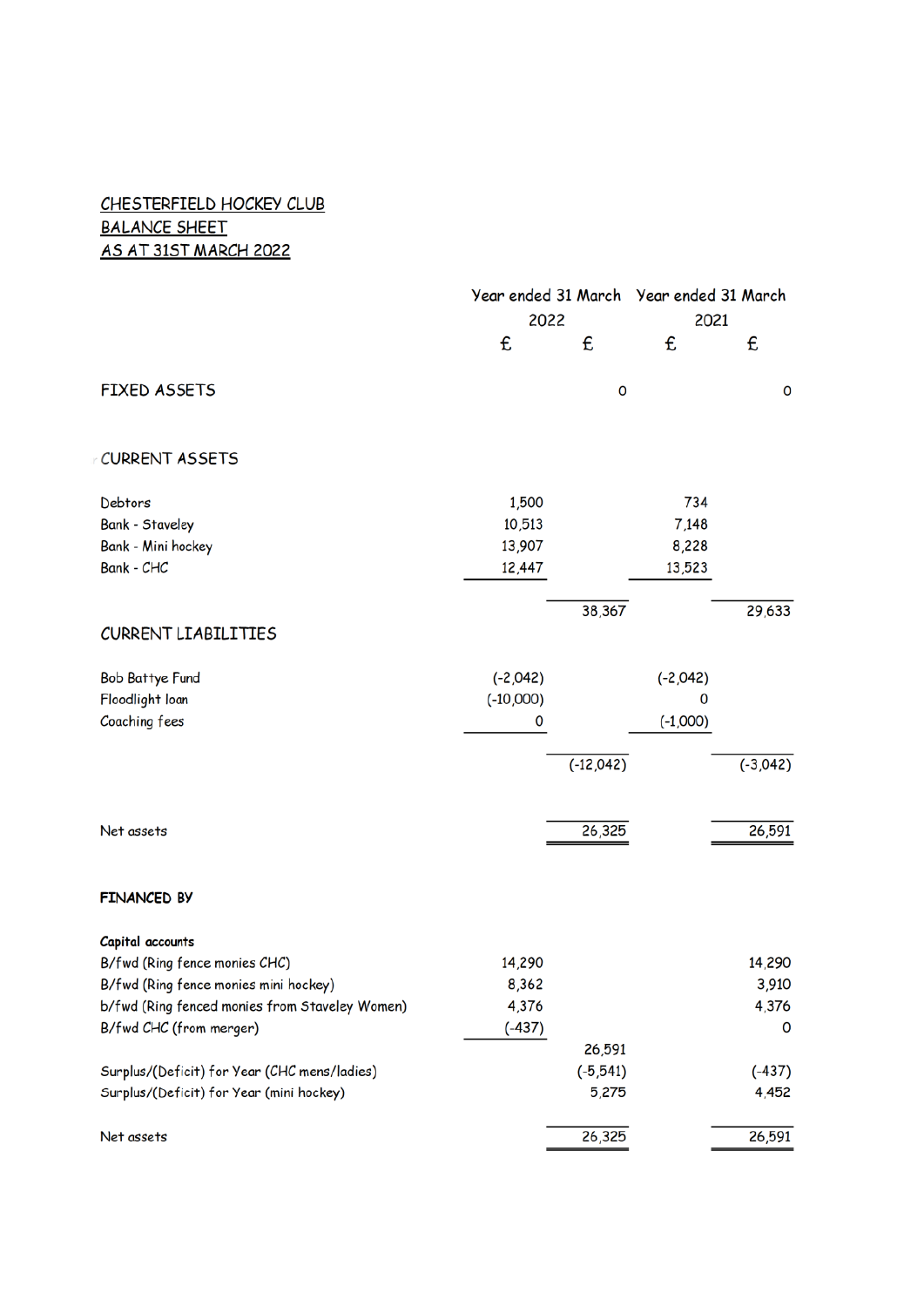#### CHESTERFIELD HOCKEY CLUB **BALANCE SHEET** AS AT 31ST MARCH 2022

|                                                | Year ended 31 March Year ended 31 March |             |            |            |
|------------------------------------------------|-----------------------------------------|-------------|------------|------------|
|                                                | 2022                                    |             | 2021       |            |
|                                                | £                                       | £           | £          | £          |
| <b>FIXED ASSETS</b>                            |                                         | 0           |            | 0          |
| CURRENT ASSETS                                 |                                         |             |            |            |
| Debtors                                        | 1,500                                   |             | 734        |            |
| <b>Bank - Staveley</b>                         | 10,513                                  |             | 7,148      |            |
| Bank - Mini hockey                             | 13,907                                  |             | 8,228      |            |
| Bank - CHC                                     | 12,447                                  |             | 13,523     |            |
|                                                |                                         |             |            |            |
|                                                |                                         | 38,367      |            | 29,633     |
| <b>CURRENT LIABILITIES</b>                     |                                         |             |            |            |
| <b>Bob Battye Fund</b>                         | $(-2,042)$                              |             | $(-2,042)$ |            |
| Floodlight loan                                | $(-10,000)$                             |             | 0          |            |
| Coaching fees                                  | 0                                       |             | $(-1,000)$ |            |
|                                                |                                         |             |            |            |
|                                                |                                         | $(-12,042)$ |            | $(-3,042)$ |
|                                                |                                         |             |            |            |
|                                                |                                         |             |            |            |
| Net assets                                     |                                         | 26,325      |            | 26,591     |
|                                                |                                         |             |            |            |
| <b>FINANCED BY</b>                             |                                         |             |            |            |
| Capital accounts                               |                                         |             |            |            |
| B/fwd (Ring fence monies CHC)                  | 14,290                                  |             |            | 14,290     |
| B/fwd (Ring fence monies mini hockey)          | 8,362                                   |             |            | 3,910      |
| b/fwd (Ring fenced monies from Staveley Women) | 4,376                                   |             |            | 4,376      |
| B/fwd CHC (from merger)                        | $(-437)$                                |             |            | 0          |
|                                                |                                         | 26,591      |            |            |
| Surplus/(Deficit) for Year (CHC mens/ladies)   |                                         | $(-5, 541)$ |            | $(-437)$   |
| Surplus/(Deficit) for Year (mini hockey)       |                                         | 5,275       |            | 4,452      |
| Net assets                                     |                                         | 26,325      |            | 26,591     |
|                                                |                                         |             |            |            |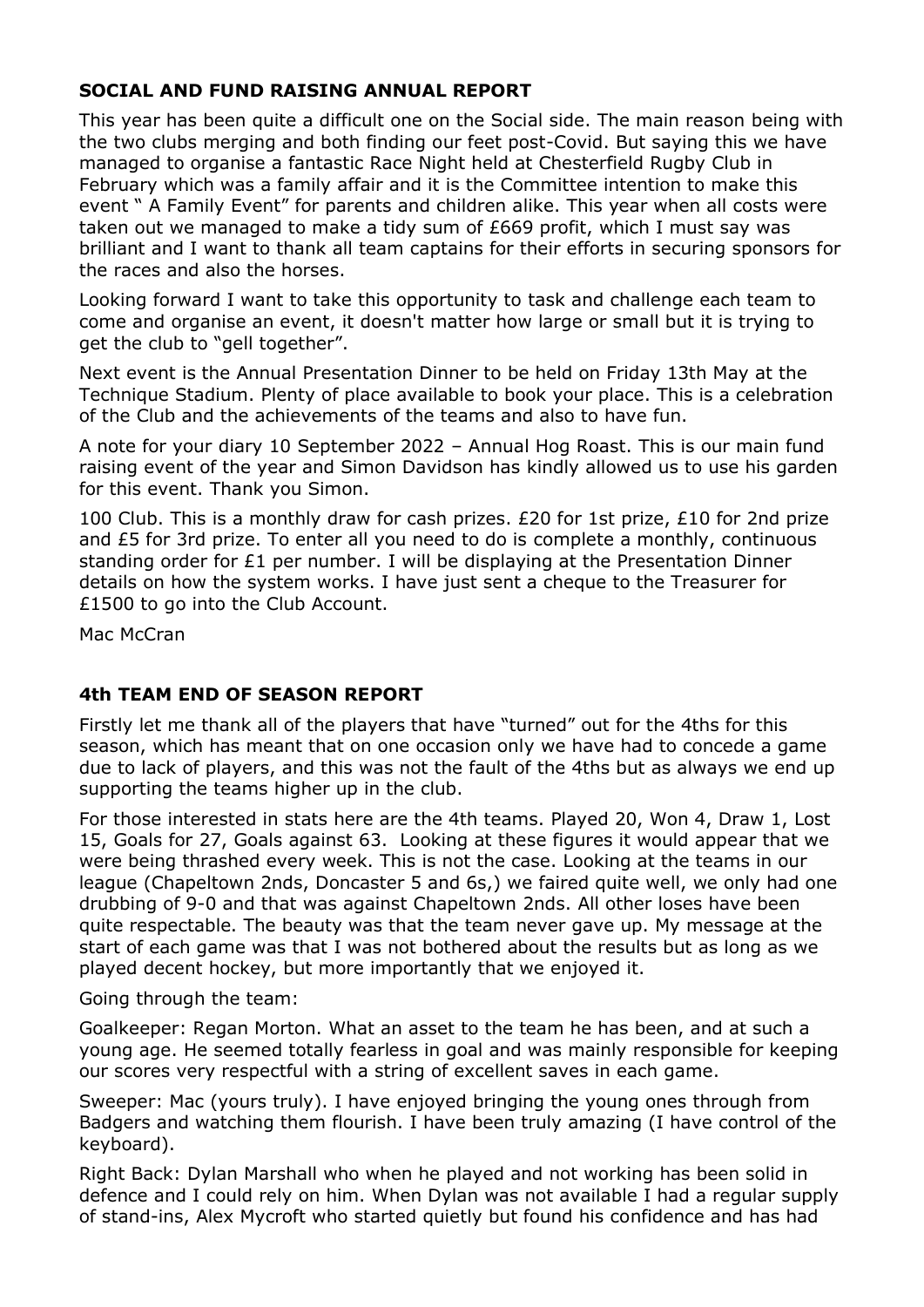#### **SOCIAL AND FUND RAISING ANNUAL REPORT**

This year has been quite a difficult one on the Social side. The main reason being with the two clubs merging and both finding our feet post-Covid. But saying this we have managed to organise a fantastic Race Night held at Chesterfield Rugby Club in February which was a family affair and it is the Committee intention to make this event " A Family Event" for parents and children alike. This year when all costs were taken out we managed to make a tidy sum of £669 profit, which I must say was brilliant and I want to thank all team captains for their efforts in securing sponsors for the races and also the horses.

Looking forward I want to take this opportunity to task and challenge each team to come and organise an event, it doesn't matter how large or small but it is trying to get the club to "gell together".

Next event is the Annual Presentation Dinner to be held on Friday 13th May at the Technique Stadium. Plenty of place available to book your place. This is a celebration of the Club and the achievements of the teams and also to have fun.

A note for your diary 10 September 2022 – Annual Hog Roast. This is our main fund raising event of the year and Simon Davidson has kindly allowed us to use his garden for this event. Thank you Simon.

100 Club. This is a monthly draw for cash prizes. £20 for 1st prize, £10 for 2nd prize and £5 for 3rd prize. To enter all you need to do is complete a monthly, continuous standing order for  $£1$  per number. I will be displaying at the Presentation Dinner details on how the system works. I have just sent a cheque to the Treasurer for £1500 to go into the Club Account.

Mac McCran

#### **4th TEAM END OF SEASON REPORT**

Firstly let me thank all of the players that have "turned" out for the 4ths for this season, which has meant that on one occasion only we have had to concede a game due to lack of players, and this was not the fault of the 4ths but as always we end up supporting the teams higher up in the club.

For those interested in stats here are the 4th teams. Played 20, Won 4, Draw 1, Lost 15, Goals for 27, Goals against 63. Looking at these figures it would appear that we were being thrashed every week. This is not the case. Looking at the teams in our league (Chapeltown 2nds, Doncaster 5 and 6s,) we faired quite well, we only had one drubbing of 9-0 and that was against Chapeltown 2nds. All other loses have been quite respectable. The beauty was that the team never gave up. My message at the start of each game was that I was not bothered about the results but as long as we played decent hockey, but more importantly that we enjoyed it.

Going through the team:

Goalkeeper: Regan Morton. What an asset to the team he has been, and at such a young age. He seemed totally fearless in goal and was mainly responsible for keeping our scores very respectful with a string of excellent saves in each game.

Sweeper: Mac (yours truly). I have enjoyed bringing the young ones through from Badgers and watching them flourish. I have been truly amazing (I have control of the keyboard).

Right Back: Dylan Marshall who when he played and not working has been solid in defence and I could rely on him. When Dylan was not available I had a regular supply of stand-ins, Alex Mycroft who started quietly but found his confidence and has had